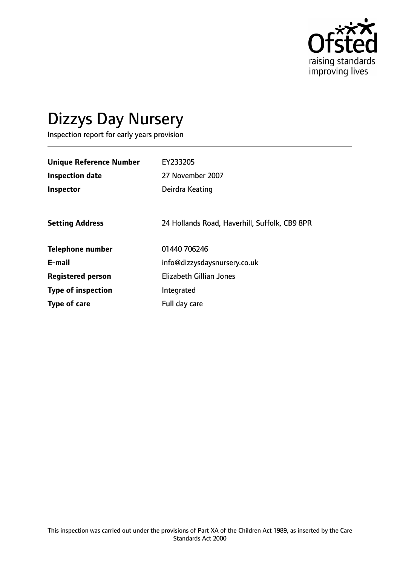

# Dizzys Day Nursery

Inspection report for early years provision

| <b>Unique Reference Number</b> | EY233205                                      |
|--------------------------------|-----------------------------------------------|
| <b>Inspection date</b>         | 27 November 2007                              |
| Inspector                      | Deirdra Keating                               |
|                                |                                               |
| <b>Setting Address</b>         | 24 Hollands Road, Haverhill, Suffolk, CB9 8PR |
| <b>Telephone number</b>        | 01440 706246                                  |
| E-mail                         | info@dizzysdaysnursery.co.uk                  |
| <b>Registered person</b>       | <b>Elizabeth Gillian Jones</b>                |
| <b>Type of inspection</b>      | Integrated                                    |
| Type of care                   | Full day care                                 |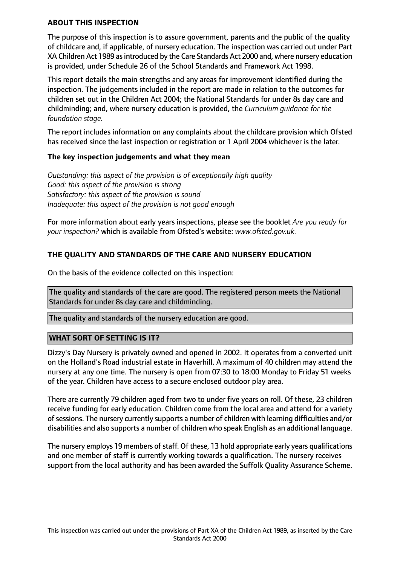#### **ABOUT THIS INSPECTION**

The purpose of this inspection is to assure government, parents and the public of the quality of childcare and, if applicable, of nursery education. The inspection was carried out under Part XA Children Act 1989 asintroduced by the Care Standards Act 2000 and, where nursery education is provided, under Schedule 26 of the School Standards and Framework Act 1998.

This report details the main strengths and any areas for improvement identified during the inspection. The judgements included in the report are made in relation to the outcomes for children set out in the Children Act 2004; the National Standards for under 8s day care and childminding; and, where nursery education is provided, the *Curriculum guidance for the foundation stage.*

The report includes information on any complaints about the childcare provision which Ofsted has received since the last inspection or registration or 1 April 2004 whichever is the later.

#### **The key inspection judgements and what they mean**

*Outstanding: this aspect of the provision is of exceptionally high quality Good: this aspect of the provision is strong Satisfactory: this aspect of the provision is sound Inadequate: this aspect of the provision is not good enough*

For more information about early years inspections, please see the booklet *Are you ready for your inspection?* which is available from Ofsted's website: *www.ofsted.gov.uk.*

## **THE QUALITY AND STANDARDS OF THE CARE AND NURSERY EDUCATION**

On the basis of the evidence collected on this inspection:

The quality and standards of the care are good. The registered person meets the National Standards for under 8s day care and childminding.

The quality and standards of the nursery education are good.

## **WHAT SORT OF SETTING IS IT?**

Dizzy's Day Nursery is privately owned and opened in 2002. It operates from a converted unit on the Holland's Road industrial estate in Haverhill. A maximum of 40 children may attend the nursery at any one time. The nursery is open from 07:30 to 18:00 Monday to Friday 51 weeks of the year. Children have access to a secure enclosed outdoor play area.

There are currently 79 children aged from two to under five years on roll. Of these, 23 children receive funding for early education. Children come from the local area and attend for a variety of sessions. The nursery currently supports a number of children with learning difficulties and/or disabilities and also supports a number of children who speak English as an additional language.

The nursery employs 19 members of staff. Of these, 13 hold appropriate early years qualifications and one member of staff is currently working towards a qualification. The nursery receives support from the local authority and has been awarded the Suffolk Quality Assurance Scheme.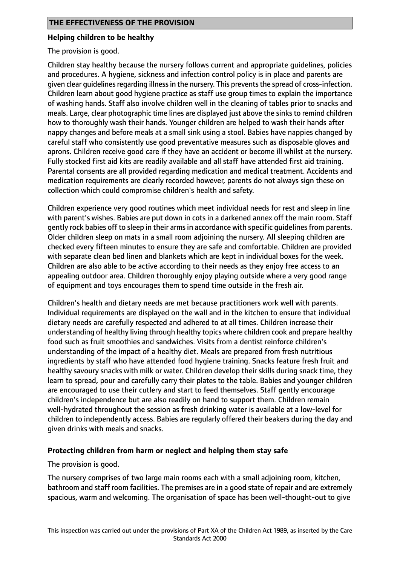#### **Helping children to be healthy**

The provision is good.

Children stay healthy because the nursery follows current and appropriate guidelines, policies and procedures. A hygiene, sickness and infection control policy is in place and parents are given clear quidelines regarding illness in the nursery. This prevents the spread of cross-infection. Children learn about good hygiene practice as staff use group times to explain the importance of washing hands. Staff also involve children well in the cleaning of tables prior to snacks and meals. Large, clear photographic time lines are displayed just above the sinks to remind children how to thoroughly wash their hands. Younger children are helped to wash their hands after nappy changes and before meals at a small sink using a stool. Babies have nappies changed by careful staff who consistently use good preventative measures such as disposable gloves and aprons. Children receive good care if they have an accident or become ill whilst at the nursery. Fully stocked first aid kits are readily available and all staff have attended first aid training. Parental consents are all provided regarding medication and medical treatment. Accidents and medication requirements are clearly recorded however, parents do not always sign these on collection which could compromise children's health and safety.

Children experience very good routines which meet individual needs for rest and sleep in line with parent's wishes. Babies are put down in cots in a darkened annex off the main room. Staff gently rock babies off to sleep in their armsin accordance with specific guidelinesfrom parents. Older children sleep on mats in a small room adjoining the nursery. All sleeping children are checked every fifteen minutes to ensure they are safe and comfortable. Children are provided with separate clean bed linen and blankets which are kept in individual boxes for the week. Children are also able to be active according to their needs as they enjoy free access to an appealing outdoor area. Children thoroughly enjoy playing outside where a very good range of equipment and toys encourages them to spend time outside in the fresh air.

Children's health and dietary needs are met because practitioners work well with parents. Individual requirements are displayed on the wall and in the kitchen to ensure that individual dietary needs are carefully respected and adhered to at all times. Children increase their understanding of healthy living through healthy topics where children cook and prepare healthy food such as fruit smoothies and sandwiches. Visits from a dentist reinforce children's understanding of the impact of a healthy diet. Meals are prepared from fresh nutritious ingredients by staff who have attended food hygiene training. Snacks feature fresh fruit and healthy savoury snacks with milk or water. Children develop their skills during snack time, they learn to spread, pour and carefully carry their plates to the table. Babies and younger children are encouraged to use their cutlery and start to feed themselves. Staff gently encourage children's independence but are also readily on hand to support them. Children remain well-hydrated throughout the session as fresh drinking water is available at a low-level for children to independently access. Babies are regularly offered their beakers during the day and given drinks with meals and snacks.

## **Protecting children from harm or neglect and helping them stay safe**

The provision is good.

The nursery comprises of two large main rooms each with a small adjoining room, kitchen, bathroom and staff room facilities. The premises are in a good state of repair and are extremely spacious, warm and welcoming. The organisation of space has been well-thought-out to give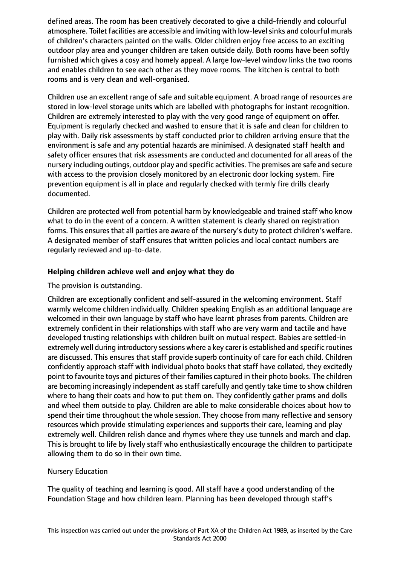defined areas. The room has been creatively decorated to give a child-friendly and colourful atmosphere. Toilet facilities are accessible and inviting with low-level sinks and colourful murals of children's characters painted on the walls. Older children enjoy free access to an exciting outdoor play area and younger children are taken outside daily. Both rooms have been softly furnished which gives a cosy and homely appeal. A large low-level window links the two rooms and enables children to see each other as they move rooms. The kitchen is central to both rooms and is very clean and well-organised.

Children use an excellent range of safe and suitable equipment. A broad range of resources are stored in low-level storage units which are labelled with photographs for instant recognition. Children are extremely interested to play with the very good range of equipment on offer. Equipment is regularly checked and washed to ensure that it is safe and clean for children to play with. Daily risk assessments by staff conducted prior to children arriving ensure that the environment is safe and any potential hazards are minimised. A designated staff health and safety officer ensures that risk assessments are conducted and documented for all areas of the nursery including outings, outdoor play and specific activities. The premises are safe and secure with access to the provision closely monitored by an electronic door locking system. Fire prevention equipment is all in place and regularly checked with termly fire drills clearly documented.

Children are protected well from potential harm by knowledgeable and trained staff who know what to do in the event of a concern. A written statement is clearly shared on registration forms. This ensures that all parties are aware of the nursery's duty to protect children's welfare. A designated member of staff ensures that written policies and local contact numbers are regularly reviewed and up-to-date.

## **Helping children achieve well and enjoy what they do**

## The provision is outstanding.

Children are exceptionally confident and self-assured in the welcoming environment. Staff warmly welcome children individually. Children speaking English as an additional language are welcomed in their own language by staff who have learnt phrases from parents. Children are extremely confident in their relationships with staff who are very warm and tactile and have developed trusting relationships with children built on mutual respect. Babies are settled-in extremely well during introductory sessions where a key carer is established and specific routines are discussed. This ensures that staff provide superb continuity of care for each child. Children confidently approach staff with individual photo books that staff have collated, they excitedly point to favourite toys and pictures of their families captured in their photo books. The children are becoming increasingly independent as staff carefully and gently take time to show children where to hang their coats and how to put them on. They confidently gather prams and dolls and wheel them outside to play. Children are able to make considerable choices about how to spend their time throughout the whole session. They choose from many reflective and sensory resources which provide stimulating experiences and supports their care, learning and play extremely well. Children relish dance and rhymes where they use tunnels and march and clap. This is brought to life by lively staff who enthusiastically encourage the children to participate allowing them to do so in their own time.

## Nursery Education

The quality of teaching and learning is good. All staff have a good understanding of the Foundation Stage and how children learn. Planning has been developed through staff's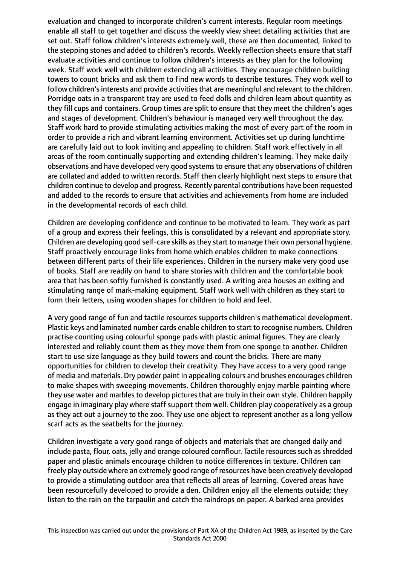evaluation and changed to incorporate children's current interests. Regular room meetings enable all staff to get together and discuss the weekly view sheet detailing activities that are set out. Staff follow children's interests extremely well, these are then documented, linked to the stepping stones and added to children's records. Weekly reflection sheets ensure that staff evaluate activities and continue to follow children's interests as they plan for the following week. Staff work well with children extending all activities. They encourage children building towers to count bricks and ask them to find new words to describe textures. They work well to follow children's interests and provide activities that are meaningful and relevant to the children. Porridge oats in a transparent tray are used to feed dolls and children learn about quantity as they fill cups and containers. Group times are split to ensure that they meet the children's ages and stages of development. Children's behaviour is managed very well throughout the day. Staff work hard to provide stimulating activities making the most of every part of the room in order to provide a rich and vibrant learning environment. Activities set up during lunchtime are carefully laid out to look inviting and appealing to children. Staff work effectively in all areas of the room continually supporting and extending children's learning. They make daily observations and have developed very good systems to ensure that any observations of children are collated and added to written records. Staff then clearly highlight next steps to ensure that children continue to develop and progress. Recently parental contributions have been requested and added to the records to ensure that activities and achievements from home are included in the developmental records of each child.

Children are developing confidence and continue to be motivated to learn. They work as part of a group and express their feelings, this is consolidated by a relevant and appropriate story. Children are developing good self-care skills as they start to manage their own personal hygiene. Staff proactively encourage links from home which enables children to make connections between different parts of their life experiences. Children in the nursery make very good use of books. Staff are readily on hand to share stories with children and the comfortable book area that has been softly furnished is constantly used. A writing area houses an exiting and stimulating range of mark-making equipment. Staff work well with children as they start to form their letters, using wooden shapes for children to hold and feel.

A very good range of fun and tactile resources supports children's mathematical development. Plastic keys and laminated number cards enable children to start to recognise numbers. Children practise counting using colourful sponge pads with plastic animal figures. They are clearly interested and reliably count them as they move them from one sponge to another. Children start to use size language as they build towers and count the bricks. There are many opportunities for children to develop their creativity. They have access to a very good range of media and materials. Dry powder paint in appealing colours and brushes encourages children to make shapes with sweeping movements. Children thoroughly enjoy marble painting where they use water and marbles to develop pictures that are truly in their own style. Children happily engage in imaginary play where staff support them well. Children play cooperatively as a group as they act out a journey to the zoo. They use one object to represent another as a long yellow scarf acts as the seatbelts for the journey.

Children investigate a very good range of objects and materials that are changed daily and include pasta, flour, oats, jelly and orange coloured cornflour. Tactile resources such as shredded paper and plastic animals encourage children to notice differences in texture. Children can freely play outside where an extremely good range of resources have been creatively developed to provide a stimulating outdoor area that reflects all areas of learning. Covered areas have been resourcefully developed to provide a den. Children enjoy all the elements outside; they listen to the rain on the tarpaulin and catch the raindrops on paper. A barked area provides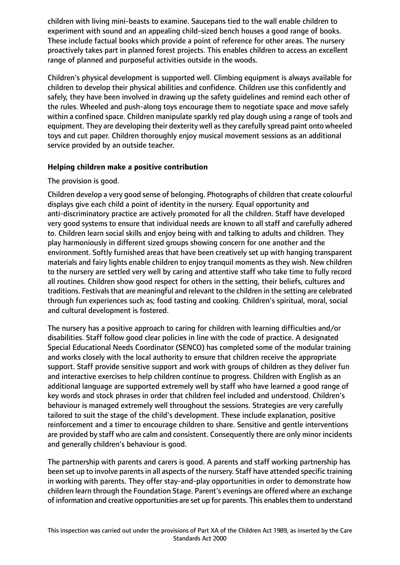children with living mini-beasts to examine. Saucepans tied to the wall enable children to experiment with sound and an appealing child-sized bench houses a good range of books. These include factual books which provide a point of reference for other areas. The nursery proactively takes part in planned forest projects. This enables children to access an excellent range of planned and purposeful activities outside in the woods.

Children's physical development is supported well. Climbing equipment is always available for children to develop their physical abilities and confidence. Children use this confidently and safely, they have been involved in drawing up the safety guidelines and remind each other of the rules. Wheeled and push-along toys encourage them to negotiate space and move safely within a confined space. Children manipulate sparkly red play dough using a range of tools and equipment. They are developing their dexterity well asthey carefully spread paint onto wheeled toys and cut paper. Children thoroughly enjoy musical movement sessions as an additional service provided by an outside teacher.

## **Helping children make a positive contribution**

## The provision is good.

Children develop a very good sense of belonging. Photographs of children that create colourful displays give each child a point of identity in the nursery. Equal opportunity and anti-discriminatory practice are actively promoted for all the children. Staff have developed very good systems to ensure that individual needs are known to all staff and carefully adhered to. Children learn social skills and enjoy being with and talking to adults and children. They play harmoniously in different sized groups showing concern for one another and the environment. Softly furnished areas that have been creatively set up with hanging transparent materials and fairy lights enable children to enjoy tranquil moments as they wish. New children to the nursery are settled very well by caring and attentive staff who take time to fully record all routines. Children show good respect for others in the setting, their beliefs, cultures and traditions. Festivals that are meaningful and relevant to the children in the setting are celebrated through fun experiences such as; food tasting and cooking. Children's spiritual, moral, social and cultural development is fostered.

The nursery has a positive approach to caring for children with learning difficulties and/or disabilities. Staff follow good clear policies in line with the code of practice. A designated Special Educational Needs Coordinator (SENCO) has completed some of the modular training and works closely with the local authority to ensure that children receive the appropriate support. Staff provide sensitive support and work with groups of children as they deliver fun and interactive exercises to help children continue to progress. Children with English as an additional language are supported extremely well by staff who have learned a good range of key words and stock phrases in order that children feel included and understood. Children's behaviour is managed extremely well throughout the sessions. Strategies are very carefully tailored to suit the stage of the child's development. These include explanation, positive reinforcement and a timer to encourage children to share. Sensitive and gentle interventions are provided by staff who are calm and consistent. Consequently there are only minor incidents and generally children's behaviour is good.

The partnership with parents and carers is good. A parents and staff working partnership has been set up to involve parents in all aspects of the nursery. Staff have attended specific training in working with parents. They offer stay-and-play opportunities in order to demonstrate how children learn through the Foundation Stage. Parent's evenings are offered where an exchange of information and creative opportunities are set up for parents. This enables them to understand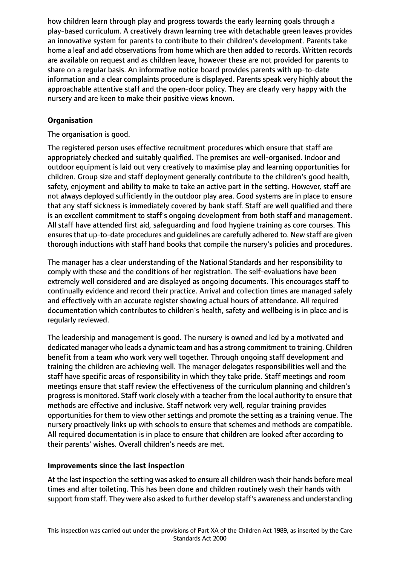how children learn through play and progress towards the early learning goals through a play-based curriculum. A creatively drawn learning tree with detachable green leaves provides an innovative system for parents to contribute to their children's development. Parents take home a leaf and add observations from home which are then added to records. Written records are available on request and as children leave, however these are not provided for parents to share on a regular basis. An informative notice board provides parents with up-to-date information and a clear complaints procedure is displayed. Parents speak very highly about the approachable attentive staff and the open-door policy. They are clearly very happy with the nursery and are keen to make their positive views known.

# **Organisation**

The organisation is good.

The registered person uses effective recruitment procedures which ensure that staff are appropriately checked and suitably qualified. The premises are well-organised. Indoor and outdoor equipment is laid out very creatively to maximise play and learning opportunities for children. Group size and staff deployment generally contribute to the children's good health, safety, enjoyment and ability to make to take an active part in the setting. However, staff are not always deployed sufficiently in the outdoor play area. Good systems are in place to ensure that any staff sickness is immediately covered by bank staff. Staff are well qualified and there is an excellent commitment to staff's ongoing development from both staff and management. All staff have attended first aid, safeguarding and food hygiene training as core courses. This ensures that up-to-date procedures and guidelines are carefully adhered to. New staff are given thorough inductions with staff hand books that compile the nursery's policies and procedures.

The manager has a clear understanding of the National Standards and her responsibility to comply with these and the conditions of her registration. The self-evaluations have been extremely well considered and are displayed as ongoing documents. This encourages staff to continually evidence and record their practice. Arrival and collection times are managed safely and effectively with an accurate register showing actual hours of attendance. All required documentation which contributes to children's health, safety and wellbeing is in place and is regularly reviewed.

The leadership and management is good. The nursery is owned and led by a motivated and dedicated manager who leads a dynamic team and has a strong commitment to training. Children benefit from a team who work very well together. Through ongoing staff development and training the children are achieving well. The manager delegates responsibilities well and the staff have specific areas of responsibility in which they take pride. Staff meetings and room meetings ensure that staff review the effectiveness of the curriculum planning and children's progress is monitored. Staff work closely with a teacher from the local authority to ensure that methods are effective and inclusive. Staff network very well, regular training provides opportunities for them to view other settings and promote the setting as a training venue. The nursery proactively links up with schools to ensure that schemes and methods are compatible. All required documentation is in place to ensure that children are looked after according to their parents' wishes. Overall children's needs are met.

## **Improvements since the last inspection**

At the last inspection the setting was asked to ensure all children wash their hands before meal times and after toileting. This has been done and children routinely wash their hands with support from staff. They were also asked to further develop staff's awareness and understanding